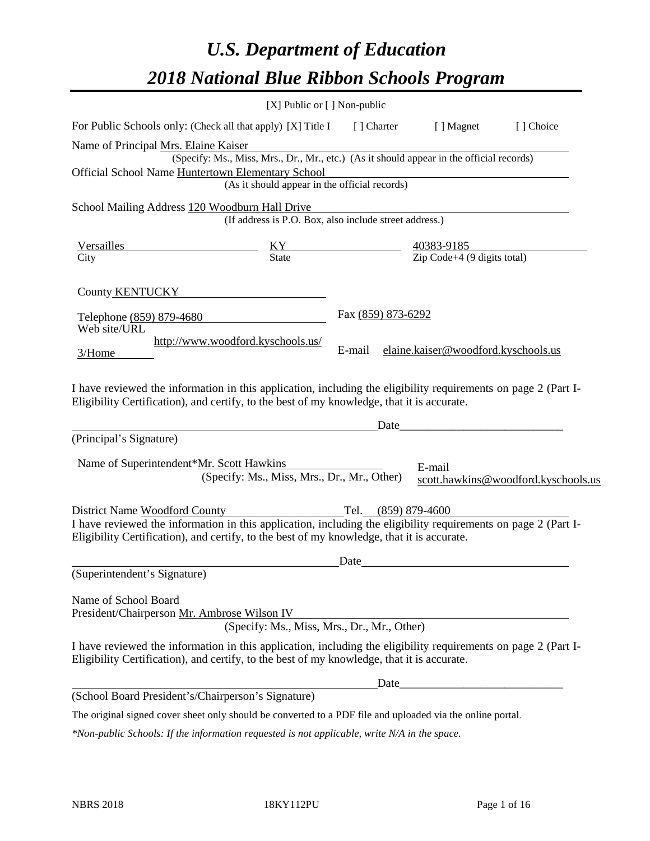# *U.S. Department of Education 2018 National Blue Ribbon Schools Program*

|                                                                                                                                                                                                              | $[X]$ Public or $[ ]$ Non-public                                                         |                    |                                       |                                     |
|--------------------------------------------------------------------------------------------------------------------------------------------------------------------------------------------------------------|------------------------------------------------------------------------------------------|--------------------|---------------------------------------|-------------------------------------|
| For Public Schools only: (Check all that apply) [X] Title I                                                                                                                                                  |                                                                                          | [ ] Charter        | [ ] Magnet                            | [] Choice                           |
| Name of Principal Mrs. Elaine Kaiser                                                                                                                                                                         |                                                                                          |                    |                                       |                                     |
|                                                                                                                                                                                                              | (Specify: Ms., Miss, Mrs., Dr., Mr., etc.) (As it should appear in the official records) |                    |                                       |                                     |
| Official School Name Huntertown Elementary School                                                                                                                                                            | (As it should appear in the official records)                                            |                    |                                       |                                     |
|                                                                                                                                                                                                              |                                                                                          |                    |                                       |                                     |
| School Mailing Address 120 Woodburn Hall Drive                                                                                                                                                               | (If address is P.O. Box, also include street address.)                                   |                    |                                       |                                     |
| Versailles                                                                                                                                                                                                   |                                                                                          |                    | 40383-9185                            |                                     |
| City                                                                                                                                                                                                         | $\frac{KY}{State}$                                                                       |                    | Zip Code+4 $(9 \text{ digits total})$ |                                     |
| County KENTUCKY                                                                                                                                                                                              |                                                                                          |                    |                                       |                                     |
| Telephone (859) 879-4680                                                                                                                                                                                     |                                                                                          | Fax (859) 873-6292 |                                       |                                     |
| Web site/URL                                                                                                                                                                                                 |                                                                                          |                    |                                       |                                     |
| $3/H$ ome                                                                                                                                                                                                    | http://www.woodford.kyschools.us/                                                        | E-mail             | elaine.kaiser@woodford.kyschools.us   |                                     |
|                                                                                                                                                                                                              |                                                                                          |                    |                                       |                                     |
| I have reviewed the information in this application, including the eligibility requirements on page 2 (Part I-<br>Eligibility Certification), and certify, to the best of my knowledge, that it is accurate. |                                                                                          |                    |                                       |                                     |
|                                                                                                                                                                                                              |                                                                                          | Date               |                                       |                                     |
| (Principal's Signature)                                                                                                                                                                                      |                                                                                          |                    |                                       |                                     |
| Name of Superintendent*Mr. Scott Hawkins                                                                                                                                                                     |                                                                                          |                    | E-mail                                |                                     |
|                                                                                                                                                                                                              | (Specify: Ms., Miss, Mrs., Dr., Mr., Other)                                              |                    |                                       | scott.hawkins@woodford.kyschools.us |
|                                                                                                                                                                                                              |                                                                                          |                    |                                       |                                     |
| District Name Woodford County<br>I have reviewed the information in this application, including the eligibility requirements on page 2 (Part I-                                                              | Tel. $(859) 879-4600$                                                                    |                    |                                       |                                     |
| Eligibility Certification), and certify, to the best of my knowledge, that it is accurate.                                                                                                                   |                                                                                          |                    |                                       |                                     |
|                                                                                                                                                                                                              |                                                                                          | Date               |                                       |                                     |
| (Superintendent's Signature)                                                                                                                                                                                 |                                                                                          |                    |                                       |                                     |
| Name of School Board<br>President/Chairperson Mr. Ambrose Wilson IV                                                                                                                                          | (Specify: Ms., Miss, Mrs., Dr., Mr., Other)                                              |                    |                                       |                                     |
|                                                                                                                                                                                                              |                                                                                          |                    |                                       |                                     |
| I have reviewed the information in this application, including the eligibility requirements on page 2 (Part I-<br>Eligibility Certification), and certify, to the best of my knowledge, that it is accurate. |                                                                                          |                    |                                       |                                     |
|                                                                                                                                                                                                              |                                                                                          | Date_              |                                       |                                     |
| (School Board President's/Chairperson's Signature)                                                                                                                                                           |                                                                                          |                    |                                       |                                     |
| The original signed cover sheet only should be converted to a PDF file and uploaded via the online portal.                                                                                                   |                                                                                          |                    |                                       |                                     |

*\*Non-public Schools: If the information requested is not applicable, write N/A in the space.*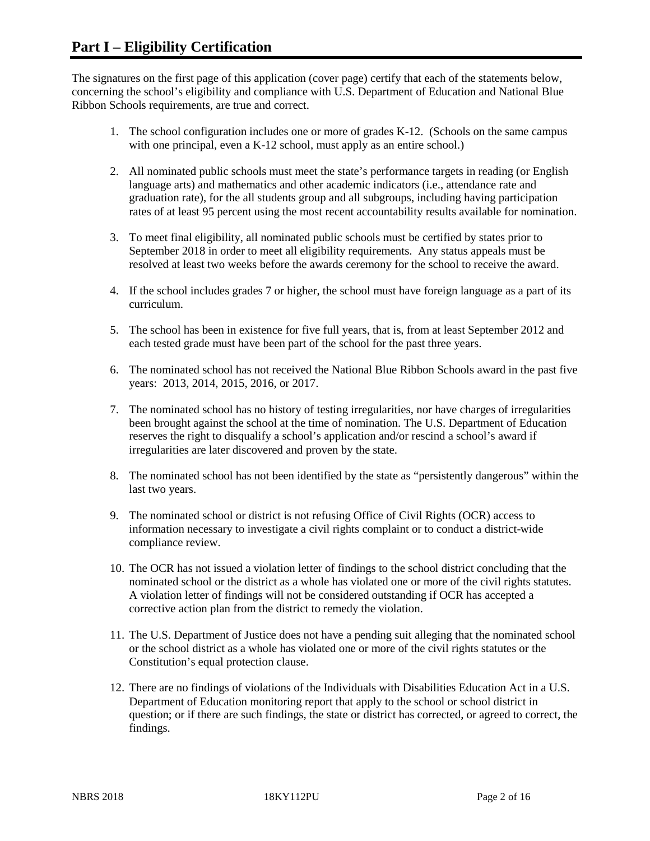The signatures on the first page of this application (cover page) certify that each of the statements below, concerning the school's eligibility and compliance with U.S. Department of Education and National Blue Ribbon Schools requirements, are true and correct.

- 1. The school configuration includes one or more of grades K-12. (Schools on the same campus with one principal, even a K-12 school, must apply as an entire school.)
- 2. All nominated public schools must meet the state's performance targets in reading (or English language arts) and mathematics and other academic indicators (i.e., attendance rate and graduation rate), for the all students group and all subgroups, including having participation rates of at least 95 percent using the most recent accountability results available for nomination.
- 3. To meet final eligibility, all nominated public schools must be certified by states prior to September 2018 in order to meet all eligibility requirements. Any status appeals must be resolved at least two weeks before the awards ceremony for the school to receive the award.
- 4. If the school includes grades 7 or higher, the school must have foreign language as a part of its curriculum.
- 5. The school has been in existence for five full years, that is, from at least September 2012 and each tested grade must have been part of the school for the past three years.
- 6. The nominated school has not received the National Blue Ribbon Schools award in the past five years: 2013, 2014, 2015, 2016, or 2017.
- 7. The nominated school has no history of testing irregularities, nor have charges of irregularities been brought against the school at the time of nomination. The U.S. Department of Education reserves the right to disqualify a school's application and/or rescind a school's award if irregularities are later discovered and proven by the state.
- 8. The nominated school has not been identified by the state as "persistently dangerous" within the last two years.
- 9. The nominated school or district is not refusing Office of Civil Rights (OCR) access to information necessary to investigate a civil rights complaint or to conduct a district-wide compliance review.
- 10. The OCR has not issued a violation letter of findings to the school district concluding that the nominated school or the district as a whole has violated one or more of the civil rights statutes. A violation letter of findings will not be considered outstanding if OCR has accepted a corrective action plan from the district to remedy the violation.
- 11. The U.S. Department of Justice does not have a pending suit alleging that the nominated school or the school district as a whole has violated one or more of the civil rights statutes or the Constitution's equal protection clause.
- 12. There are no findings of violations of the Individuals with Disabilities Education Act in a U.S. Department of Education monitoring report that apply to the school or school district in question; or if there are such findings, the state or district has corrected, or agreed to correct, the findings.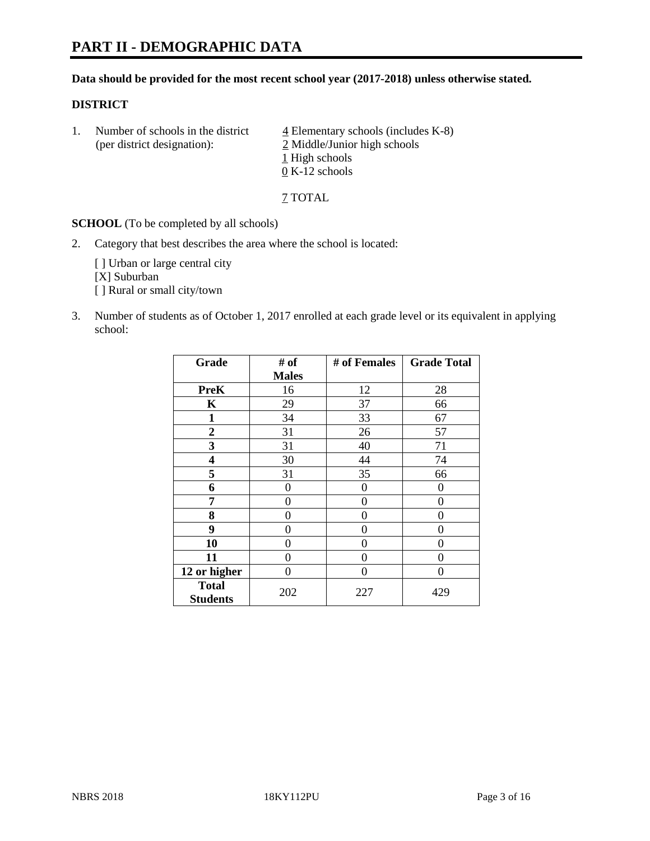# **PART II - DEMOGRAPHIC DATA**

#### **Data should be provided for the most recent school year (2017-2018) unless otherwise stated.**

#### **DISTRICT**

1. Number of schools in the district  $\frac{4}{4}$  Elementary schools (includes K-8) (per district designation): 2 Middle/Junior high schools 1 High schools 0 K-12 schools

7 TOTAL

**SCHOOL** (To be completed by all schools)

2. Category that best describes the area where the school is located:

[] Urban or large central city [X] Suburban [] Rural or small city/town

3. Number of students as of October 1, 2017 enrolled at each grade level or its equivalent in applying school:

| Grade                           | # of         | # of Females | <b>Grade Total</b> |
|---------------------------------|--------------|--------------|--------------------|
|                                 | <b>Males</b> |              |                    |
| <b>PreK</b>                     | 16           | 12           | 28                 |
| K                               | 29           | 37           | 66                 |
| $\mathbf{1}$                    | 34           | 33           | 67                 |
| 2                               | 31           | 26           | 57                 |
| 3                               | 31           | 40           | 71                 |
| 4                               | 30           | 44           | 74                 |
| 5                               | 31           | 35           | 66                 |
| 6                               | 0            | 0            | 0                  |
| 7                               | 0            | 0            | 0                  |
| 8                               | 0            | 0            | 0                  |
| 9                               | 0            | 0            | 0                  |
| 10                              | 0            | 0            | 0                  |
| 11                              | 0            | 0            | 0                  |
| 12 or higher                    | 0            | 0            | 0                  |
| <b>Total</b><br><b>Students</b> | 202          | 227          | 429                |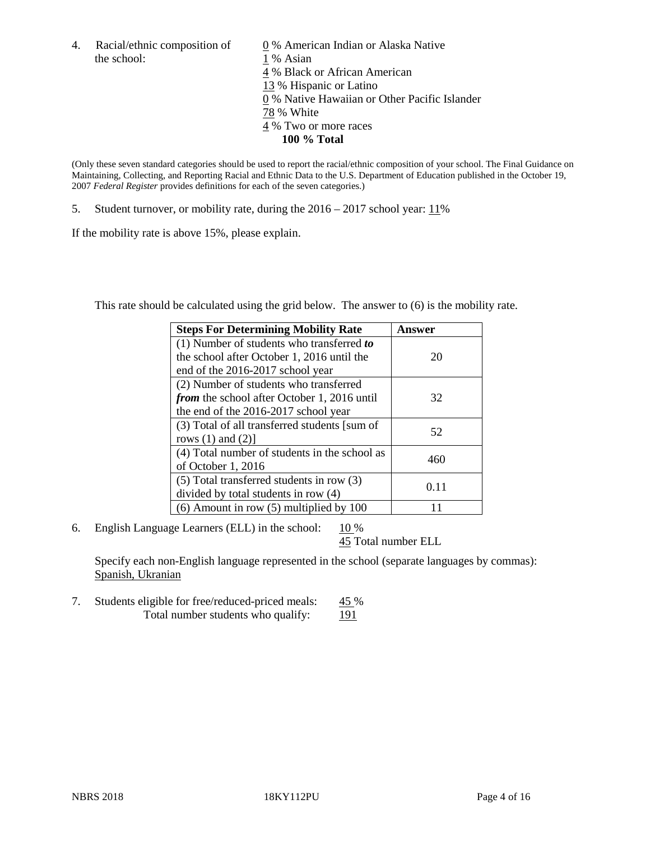the school: 1 % Asian

4. Racial/ethnic composition of  $\qquad 0\%$  American Indian or Alaska Native 4 % Black or African American 13 % Hispanic or Latino 0 % Native Hawaiian or Other Pacific Islander 78 % White 4 % Two or more races **100 % Total**

(Only these seven standard categories should be used to report the racial/ethnic composition of your school. The Final Guidance on Maintaining, Collecting, and Reporting Racial and Ethnic Data to the U.S. Department of Education published in the October 19, 2007 *Federal Register* provides definitions for each of the seven categories.)

5. Student turnover, or mobility rate, during the 2016 – 2017 school year: 11%

If the mobility rate is above 15%, please explain.

This rate should be calculated using the grid below. The answer to (6) is the mobility rate.

| <b>Steps For Determining Mobility Rate</b>         | Answer |
|----------------------------------------------------|--------|
| (1) Number of students who transferred to          |        |
| the school after October 1, 2016 until the         | 20     |
| end of the 2016-2017 school year                   |        |
| (2) Number of students who transferred             |        |
| <i>from</i> the school after October 1, 2016 until | 32     |
| the end of the 2016-2017 school year               |        |
| (3) Total of all transferred students [sum of      | 52     |
| rows $(1)$ and $(2)$ ]                             |        |
| (4) Total number of students in the school as      |        |
| of October 1, 2016                                 | 460    |
| (5) Total transferred students in row (3)          |        |
| divided by total students in row (4)               | 0.11   |
| $(6)$ Amount in row $(5)$ multiplied by 100        |        |

6. English Language Learners (ELL) in the school:  $10\%$ 

45 Total number ELL

Specify each non-English language represented in the school (separate languages by commas): Spanish, Ukranian

7. Students eligible for free/reduced-priced meals: 45 % Total number students who qualify: 191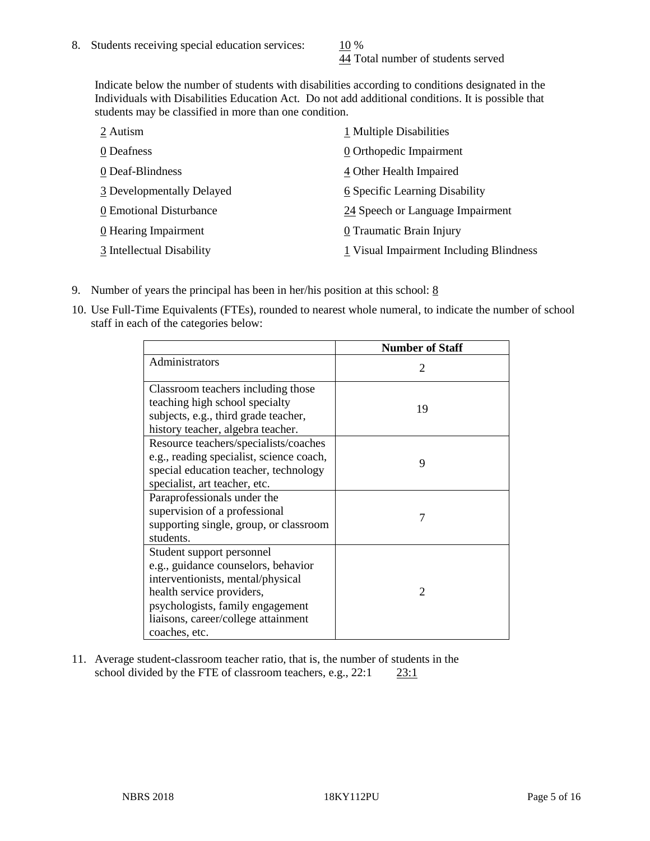44 Total number of students served

Indicate below the number of students with disabilities according to conditions designated in the Individuals with Disabilities Education Act. Do not add additional conditions. It is possible that students may be classified in more than one condition.

| 2 Autism                  | 1 Multiple Disabilities                 |
|---------------------------|-----------------------------------------|
| 0 Deafness                | 0 Orthopedic Impairment                 |
| 0 Deaf-Blindness          | 4 Other Health Impaired                 |
| 3 Developmentally Delayed | 6 Specific Learning Disability          |
| 0 Emotional Disturbance   | 24 Speech or Language Impairment        |
| 0 Hearing Impairment      | 0 Traumatic Brain Injury                |
| 3 Intellectual Disability | 1 Visual Impairment Including Blindness |

- 9. Number of years the principal has been in her/his position at this school:  $8$
- 10. Use Full-Time Equivalents (FTEs), rounded to nearest whole numeral, to indicate the number of school staff in each of the categories below:

|                                                                                                                                                                                                                                | <b>Number of Staff</b>      |
|--------------------------------------------------------------------------------------------------------------------------------------------------------------------------------------------------------------------------------|-----------------------------|
| Administrators                                                                                                                                                                                                                 | $\mathcal{D}_{\mathcal{L}}$ |
| Classroom teachers including those<br>teaching high school specialty<br>subjects, e.g., third grade teacher,<br>history teacher, algebra teacher.                                                                              | 19                          |
| Resource teachers/specialists/coaches<br>e.g., reading specialist, science coach,<br>special education teacher, technology<br>specialist, art teacher, etc.                                                                    | 9                           |
| Paraprofessionals under the<br>supervision of a professional<br>supporting single, group, or classroom<br>students.                                                                                                            | 7                           |
| Student support personnel<br>e.g., guidance counselors, behavior<br>interventionists, mental/physical<br>health service providers,<br>psychologists, family engagement<br>liaisons, career/college attainment<br>coaches, etc. | $\mathfrak{D}$              |

11. Average student-classroom teacher ratio, that is, the number of students in the school divided by the FTE of classroom teachers, e.g., 22:1 23:1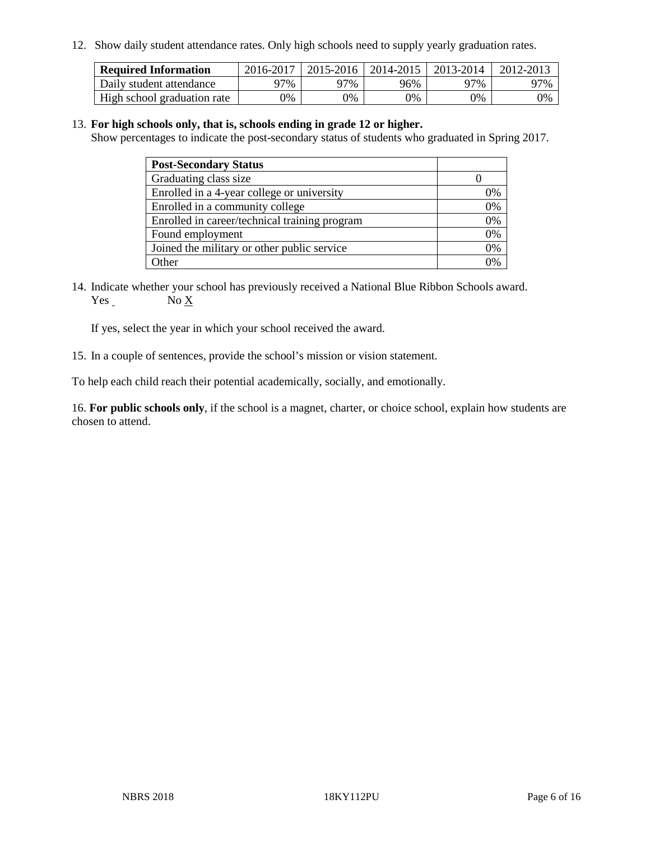12. Show daily student attendance rates. Only high schools need to supply yearly graduation rates.

| <b>Required Information</b> | 2016-2017 | $2015 - 2016$ | 2014-2015 | 2013-2014 | 2012-2013 |
|-----------------------------|-----------|---------------|-----------|-----------|-----------|
| Daily student attendance    | 97%       | 97%           | 96%       | 77%       | 97%       |
| High school graduation rate | 0%        | 0%            | 0%        | 9%        | 0%        |

#### 13. **For high schools only, that is, schools ending in grade 12 or higher.**

Show percentages to indicate the post-secondary status of students who graduated in Spring 2017.

| <b>Post-Secondary Status</b>                  |    |
|-----------------------------------------------|----|
| Graduating class size                         |    |
| Enrolled in a 4-year college or university    | 0% |
| Enrolled in a community college               | 0% |
| Enrolled in career/technical training program | 0% |
| Found employment                              | 0% |
| Joined the military or other public service   | 0% |
| Other                                         | ገ% |

14. Indicate whether your school has previously received a National Blue Ribbon Schools award. Yes No X

If yes, select the year in which your school received the award.

15. In a couple of sentences, provide the school's mission or vision statement.

To help each child reach their potential academically, socially, and emotionally.

16. **For public schools only**, if the school is a magnet, charter, or choice school, explain how students are chosen to attend.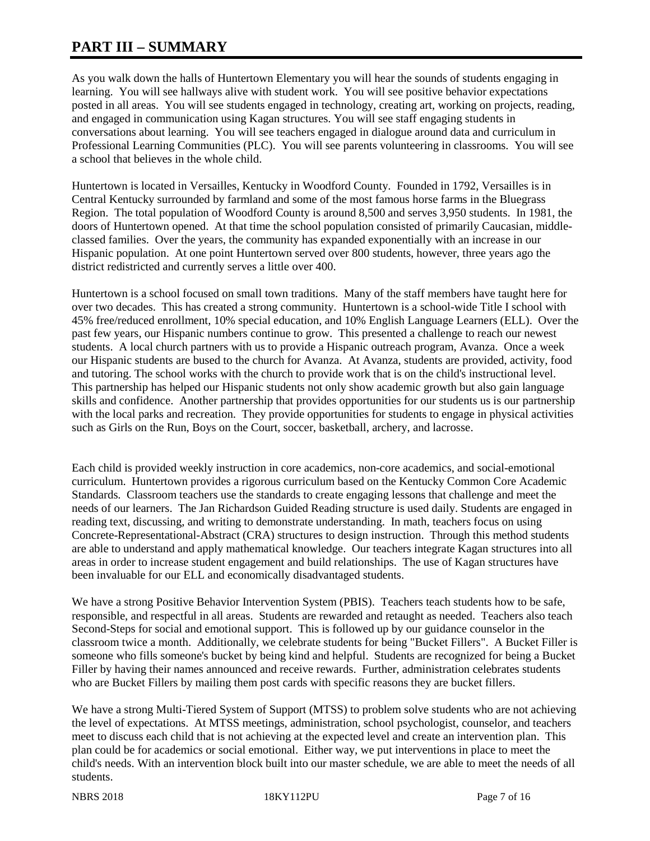# **PART III – SUMMARY**

As you walk down the halls of Huntertown Elementary you will hear the sounds of students engaging in learning. You will see hallways alive with student work. You will see positive behavior expectations posted in all areas. You will see students engaged in technology, creating art, working on projects, reading, and engaged in communication using Kagan structures. You will see staff engaging students in conversations about learning. You will see teachers engaged in dialogue around data and curriculum in Professional Learning Communities (PLC). You will see parents volunteering in classrooms. You will see a school that believes in the whole child.

Huntertown is located in Versailles, Kentucky in Woodford County. Founded in 1792, Versailles is in Central Kentucky surrounded by farmland and some of the most famous horse farms in the Bluegrass Region. The total population of Woodford County is around 8,500 and serves 3,950 students. In 1981, the doors of Huntertown opened. At that time the school population consisted of primarily Caucasian, middleclassed families. Over the years, the community has expanded exponentially with an increase in our Hispanic population. At one point Huntertown served over 800 students, however, three years ago the district redistricted and currently serves a little over 400.

Huntertown is a school focused on small town traditions. Many of the staff members have taught here for over two decades. This has created a strong community. Huntertown is a school-wide Title I school with 45% free/reduced enrollment, 10% special education, and 10% English Language Learners (ELL). Over the past few years, our Hispanic numbers continue to grow. This presented a challenge to reach our newest students. A local church partners with us to provide a Hispanic outreach program, Avanza. Once a week our Hispanic students are bused to the church for Avanza. At Avanza, students are provided, activity, food and tutoring. The school works with the church to provide work that is on the child's instructional level. This partnership has helped our Hispanic students not only show academic growth but also gain language skills and confidence. Another partnership that provides opportunities for our students us is our partnership with the local parks and recreation. They provide opportunities for students to engage in physical activities such as Girls on the Run, Boys on the Court, soccer, basketball, archery, and lacrosse.

Each child is provided weekly instruction in core academics, non-core academics, and social-emotional curriculum. Huntertown provides a rigorous curriculum based on the Kentucky Common Core Academic Standards. Classroom teachers use the standards to create engaging lessons that challenge and meet the needs of our learners. The Jan Richardson Guided Reading structure is used daily. Students are engaged in reading text, discussing, and writing to demonstrate understanding. In math, teachers focus on using Concrete-Representational-Abstract (CRA) structures to design instruction. Through this method students are able to understand and apply mathematical knowledge. Our teachers integrate Kagan structures into all areas in order to increase student engagement and build relationships. The use of Kagan structures have been invaluable for our ELL and economically disadvantaged students.

We have a strong Positive Behavior Intervention System (PBIS). Teachers teach students how to be safe, responsible, and respectful in all areas. Students are rewarded and retaught as needed. Teachers also teach Second-Steps for social and emotional support. This is followed up by our guidance counselor in the classroom twice a month. Additionally, we celebrate students for being "Bucket Fillers". A Bucket Filler is someone who fills someone's bucket by being kind and helpful. Students are recognized for being a Bucket Filler by having their names announced and receive rewards. Further, administration celebrates students who are Bucket Fillers by mailing them post cards with specific reasons they are bucket fillers.

We have a strong Multi-Tiered System of Support (MTSS) to problem solve students who are not achieving the level of expectations. At MTSS meetings, administration, school psychologist, counselor, and teachers meet to discuss each child that is not achieving at the expected level and create an intervention plan. This plan could be for academics or social emotional. Either way, we put interventions in place to meet the child's needs. With an intervention block built into our master schedule, we are able to meet the needs of all students.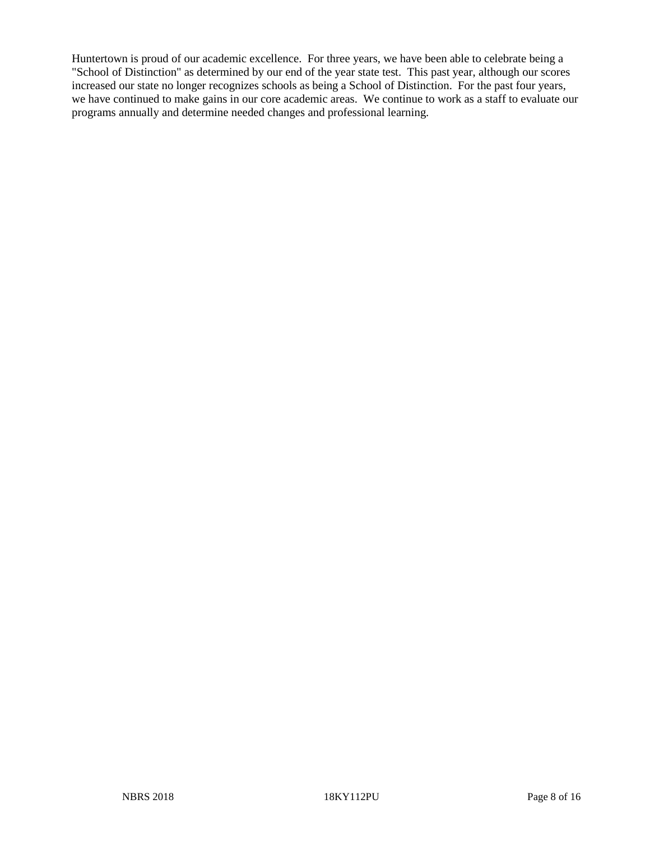Huntertown is proud of our academic excellence. For three years, we have been able to celebrate being a "School of Distinction" as determined by our end of the year state test. This past year, although our scores increased our state no longer recognizes schools as being a School of Distinction. For the past four years, we have continued to make gains in our core academic areas. We continue to work as a staff to evaluate our programs annually and determine needed changes and professional learning.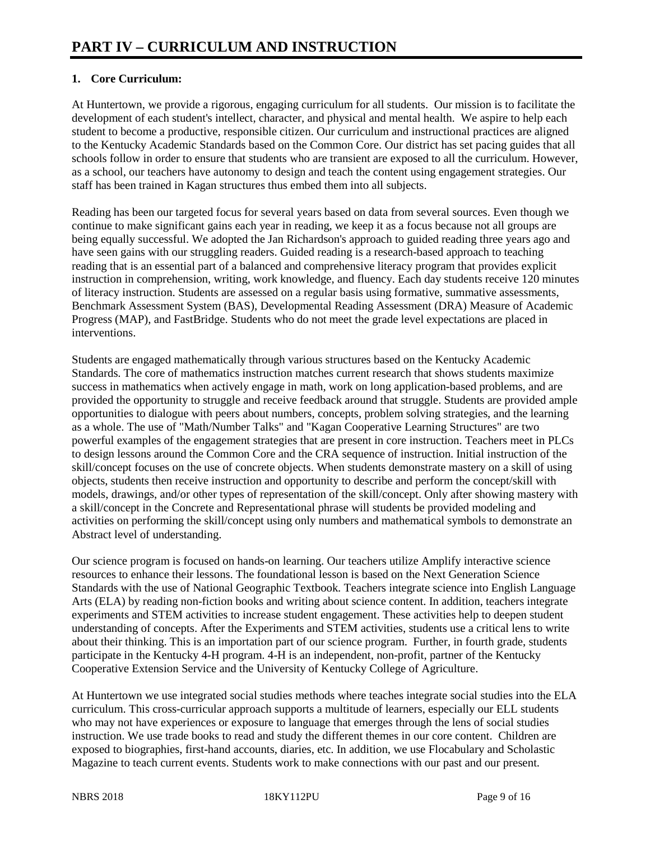# **1. Core Curriculum:**

At Huntertown, we provide a rigorous, engaging curriculum for all students. Our mission is to facilitate the development of each student's intellect, character, and physical and mental health. We aspire to help each student to become a productive, responsible citizen. Our curriculum and instructional practices are aligned to the Kentucky Academic Standards based on the Common Core. Our district has set pacing guides that all schools follow in order to ensure that students who are transient are exposed to all the curriculum. However, as a school, our teachers have autonomy to design and teach the content using engagement strategies. Our staff has been trained in Kagan structures thus embed them into all subjects.

Reading has been our targeted focus for several years based on data from several sources. Even though we continue to make significant gains each year in reading, we keep it as a focus because not all groups are being equally successful. We adopted the Jan Richardson's approach to guided reading three years ago and have seen gains with our struggling readers. Guided reading is a research-based approach to teaching reading that is an essential part of a balanced and comprehensive literacy program that provides explicit instruction in comprehension, writing, work knowledge, and fluency. Each day students receive 120 minutes of literacy instruction. Students are assessed on a regular basis using formative, summative assessments, Benchmark Assessment System (BAS), Developmental Reading Assessment (DRA) Measure of Academic Progress (MAP), and FastBridge. Students who do not meet the grade level expectations are placed in interventions.

Students are engaged mathematically through various structures based on the Kentucky Academic Standards. The core of mathematics instruction matches current research that shows students maximize success in mathematics when actively engage in math, work on long application-based problems, and are provided the opportunity to struggle and receive feedback around that struggle. Students are provided ample opportunities to dialogue with peers about numbers, concepts, problem solving strategies, and the learning as a whole. The use of "Math/Number Talks" and "Kagan Cooperative Learning Structures" are two powerful examples of the engagement strategies that are present in core instruction. Teachers meet in PLCs to design lessons around the Common Core and the CRA sequence of instruction. Initial instruction of the skill/concept focuses on the use of concrete objects. When students demonstrate mastery on a skill of using objects, students then receive instruction and opportunity to describe and perform the concept/skill with models, drawings, and/or other types of representation of the skill/concept. Only after showing mastery with a skill/concept in the Concrete and Representational phrase will students be provided modeling and activities on performing the skill/concept using only numbers and mathematical symbols to demonstrate an Abstract level of understanding.

Our science program is focused on hands-on learning. Our teachers utilize Amplify interactive science resources to enhance their lessons. The foundational lesson is based on the Next Generation Science Standards with the use of National Geographic Textbook. Teachers integrate science into English Language Arts (ELA) by reading non-fiction books and writing about science content. In addition, teachers integrate experiments and STEM activities to increase student engagement. These activities help to deepen student understanding of concepts. After the Experiments and STEM activities, students use a critical lens to write about their thinking. This is an importation part of our science program. Further, in fourth grade, students participate in the Kentucky 4-H program. 4-H is an independent, non-profit, partner of the Kentucky Cooperative Extension Service and the University of Kentucky College of Agriculture.

At Huntertown we use integrated social studies methods where teaches integrate social studies into the ELA curriculum. This cross-curricular approach supports a multitude of learners, especially our ELL students who may not have experiences or exposure to language that emerges through the lens of social studies instruction. We use trade books to read and study the different themes in our core content. Children are exposed to biographies, first-hand accounts, diaries, etc. In addition, we use Flocabulary and Scholastic Magazine to teach current events. Students work to make connections with our past and our present.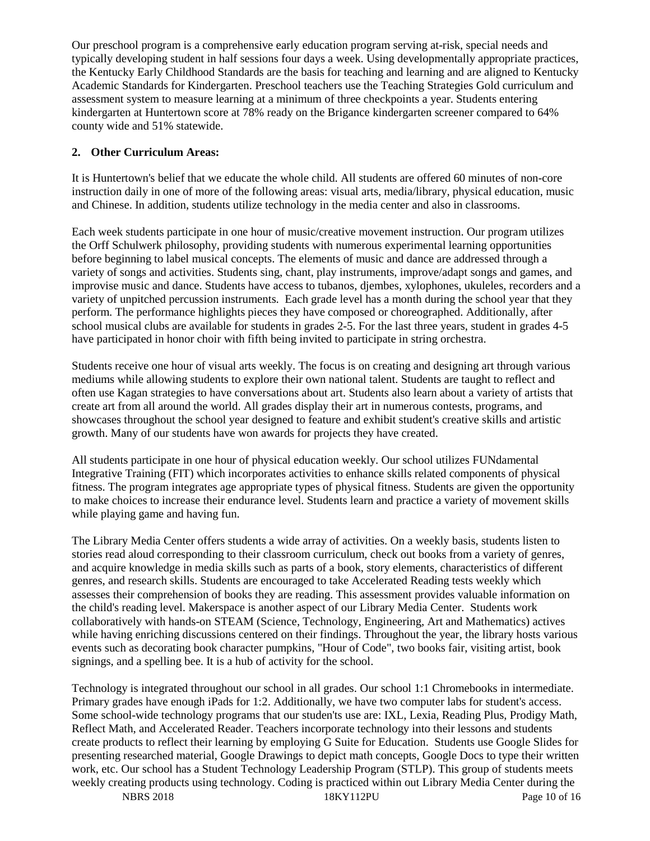Our preschool program is a comprehensive early education program serving at-risk, special needs and typically developing student in half sessions four days a week. Using developmentally appropriate practices, the Kentucky Early Childhood Standards are the basis for teaching and learning and are aligned to Kentucky Academic Standards for Kindergarten. Preschool teachers use the Teaching Strategies Gold curriculum and assessment system to measure learning at a minimum of three checkpoints a year. Students entering kindergarten at Huntertown score at 78% ready on the Brigance kindergarten screener compared to 64% county wide and 51% statewide.

## **2. Other Curriculum Areas:**

It is Huntertown's belief that we educate the whole child. All students are offered 60 minutes of non-core instruction daily in one of more of the following areas: visual arts, media/library, physical education, music and Chinese. In addition, students utilize technology in the media center and also in classrooms.

Each week students participate in one hour of music/creative movement instruction. Our program utilizes the Orff Schulwerk philosophy, providing students with numerous experimental learning opportunities before beginning to label musical concepts. The elements of music and dance are addressed through a variety of songs and activities. Students sing, chant, play instruments, improve/adapt songs and games, and improvise music and dance. Students have access to tubanos, djembes, xylophones, ukuleles, recorders and a variety of unpitched percussion instruments. Each grade level has a month during the school year that they perform. The performance highlights pieces they have composed or choreographed. Additionally, after school musical clubs are available for students in grades 2-5. For the last three years, student in grades 4-5 have participated in honor choir with fifth being invited to participate in string orchestra.

Students receive one hour of visual arts weekly. The focus is on creating and designing art through various mediums while allowing students to explore their own national talent. Students are taught to reflect and often use Kagan strategies to have conversations about art. Students also learn about a variety of artists that create art from all around the world. All grades display their art in numerous contests, programs, and showcases throughout the school year designed to feature and exhibit student's creative skills and artistic growth. Many of our students have won awards for projects they have created.

All students participate in one hour of physical education weekly. Our school utilizes FUNdamental Integrative Training (FIT) which incorporates activities to enhance skills related components of physical fitness. The program integrates age appropriate types of physical fitness. Students are given the opportunity to make choices to increase their endurance level. Students learn and practice a variety of movement skills while playing game and having fun.

The Library Media Center offers students a wide array of activities. On a weekly basis, students listen to stories read aloud corresponding to their classroom curriculum, check out books from a variety of genres, and acquire knowledge in media skills such as parts of a book, story elements, characteristics of different genres, and research skills. Students are encouraged to take Accelerated Reading tests weekly which assesses their comprehension of books they are reading. This assessment provides valuable information on the child's reading level. Makerspace is another aspect of our Library Media Center. Students work collaboratively with hands-on STEAM (Science, Technology, Engineering, Art and Mathematics) actives while having enriching discussions centered on their findings. Throughout the year, the library hosts various events such as decorating book character pumpkins, "Hour of Code", two books fair, visiting artist, book signings, and a spelling bee. It is a hub of activity for the school.

Technology is integrated throughout our school in all grades. Our school 1:1 Chromebooks in intermediate. Primary grades have enough iPads for 1:2. Additionally, we have two computer labs for student's access. Some school-wide technology programs that our studen'ts use are: IXL, Lexia, Reading Plus, Prodigy Math, Reflect Math, and Accelerated Reader. Teachers incorporate technology into their lessons and students create products to reflect their learning by employing G Suite for Education. Students use Google Slides for presenting researched material, Google Drawings to depict math concepts, Google Docs to type their written work, etc. Our school has a Student Technology Leadership Program (STLP). This group of students meets weekly creating products using technology. Coding is practiced within out Library Media Center during the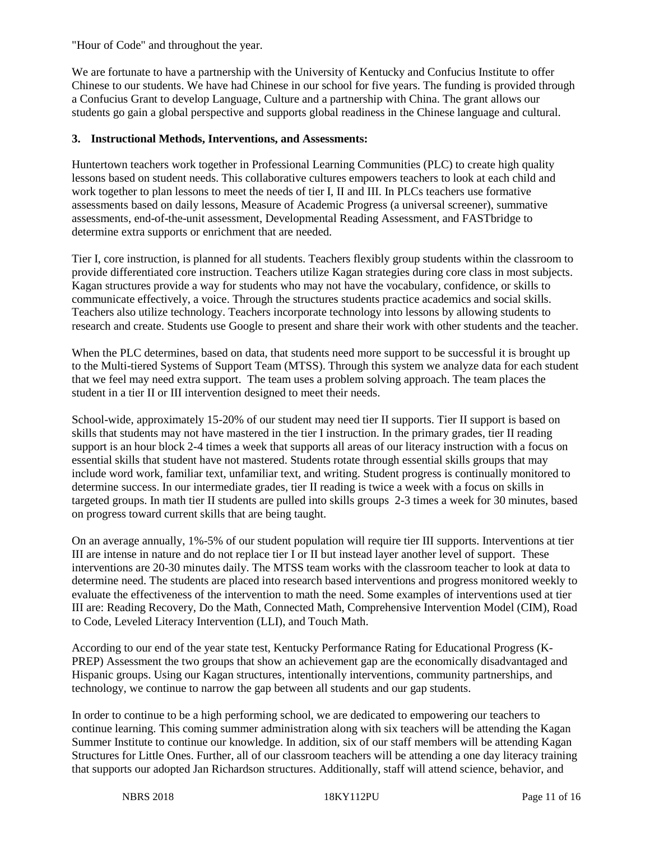"Hour of Code" and throughout the year.

We are fortunate to have a partnership with the University of Kentucky and Confucius Institute to offer Chinese to our students. We have had Chinese in our school for five years. The funding is provided through a Confucius Grant to develop Language, Culture and a partnership with China. The grant allows our students go gain a global perspective and supports global readiness in the Chinese language and cultural.

### **3. Instructional Methods, Interventions, and Assessments:**

Huntertown teachers work together in Professional Learning Communities (PLC) to create high quality lessons based on student needs. This collaborative cultures empowers teachers to look at each child and work together to plan lessons to meet the needs of tier I, II and III. In PLCs teachers use formative assessments based on daily lessons, Measure of Academic Progress (a universal screener), summative assessments, end-of-the-unit assessment, Developmental Reading Assessment, and FASTbridge to determine extra supports or enrichment that are needed.

Tier I, core instruction, is planned for all students. Teachers flexibly group students within the classroom to provide differentiated core instruction. Teachers utilize Kagan strategies during core class in most subjects. Kagan structures provide a way for students who may not have the vocabulary, confidence, or skills to communicate effectively, a voice. Through the structures students practice academics and social skills. Teachers also utilize technology. Teachers incorporate technology into lessons by allowing students to research and create. Students use Google to present and share their work with other students and the teacher.

When the PLC determines, based on data, that students need more support to be successful it is brought up to the Multi-tiered Systems of Support Team (MTSS). Through this system we analyze data for each student that we feel may need extra support. The team uses a problem solving approach. The team places the student in a tier II or III intervention designed to meet their needs.

School-wide, approximately 15-20% of our student may need tier II supports. Tier II support is based on skills that students may not have mastered in the tier I instruction. In the primary grades, tier II reading support is an hour block 2-4 times a week that supports all areas of our literacy instruction with a focus on essential skills that student have not mastered. Students rotate through essential skills groups that may include word work, familiar text, unfamiliar text, and writing. Student progress is continually monitored to determine success. In our intermediate grades, tier II reading is twice a week with a focus on skills in targeted groups. In math tier II students are pulled into skills groups 2-3 times a week for 30 minutes, based on progress toward current skills that are being taught.

On an average annually, 1%-5% of our student population will require tier III supports. Interventions at tier III are intense in nature and do not replace tier I or II but instead layer another level of support. These interventions are 20-30 minutes daily. The MTSS team works with the classroom teacher to look at data to determine need. The students are placed into research based interventions and progress monitored weekly to evaluate the effectiveness of the intervention to math the need. Some examples of interventions used at tier III are: Reading Recovery, Do the Math, Connected Math, Comprehensive Intervention Model (CIM), Road to Code, Leveled Literacy Intervention (LLI), and Touch Math.

According to our end of the year state test, Kentucky Performance Rating for Educational Progress (K-PREP) Assessment the two groups that show an achievement gap are the economically disadvantaged and Hispanic groups. Using our Kagan structures, intentionally interventions, community partnerships, and technology, we continue to narrow the gap between all students and our gap students.

In order to continue to be a high performing school, we are dedicated to empowering our teachers to continue learning. This coming summer administration along with six teachers will be attending the Kagan Summer Institute to continue our knowledge. In addition, six of our staff members will be attending Kagan Structures for Little Ones. Further, all of our classroom teachers will be attending a one day literacy training that supports our adopted Jan Richardson structures. Additionally, staff will attend science, behavior, and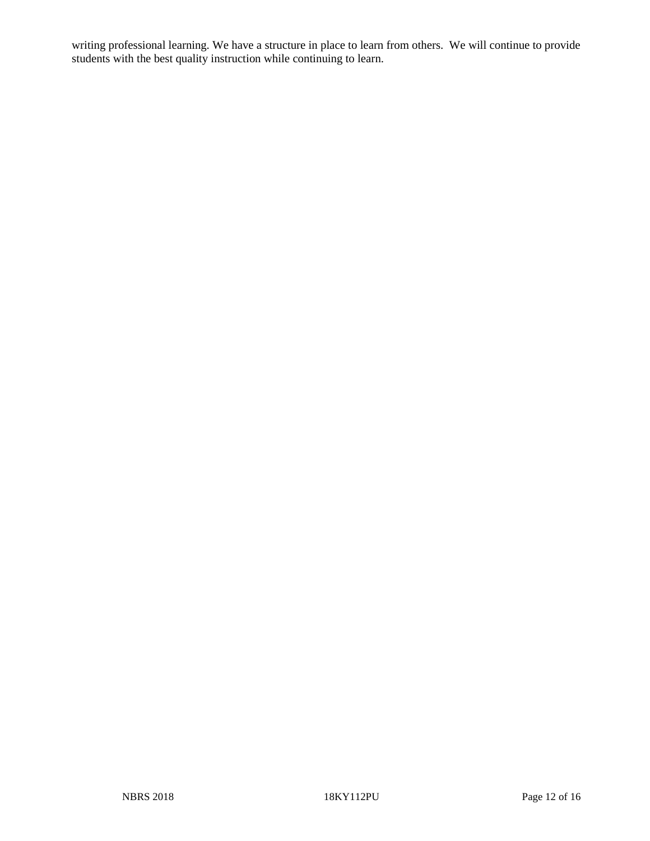writing professional learning. We have a structure in place to learn from others. We will continue to provide students with the best quality instruction while continuing to learn.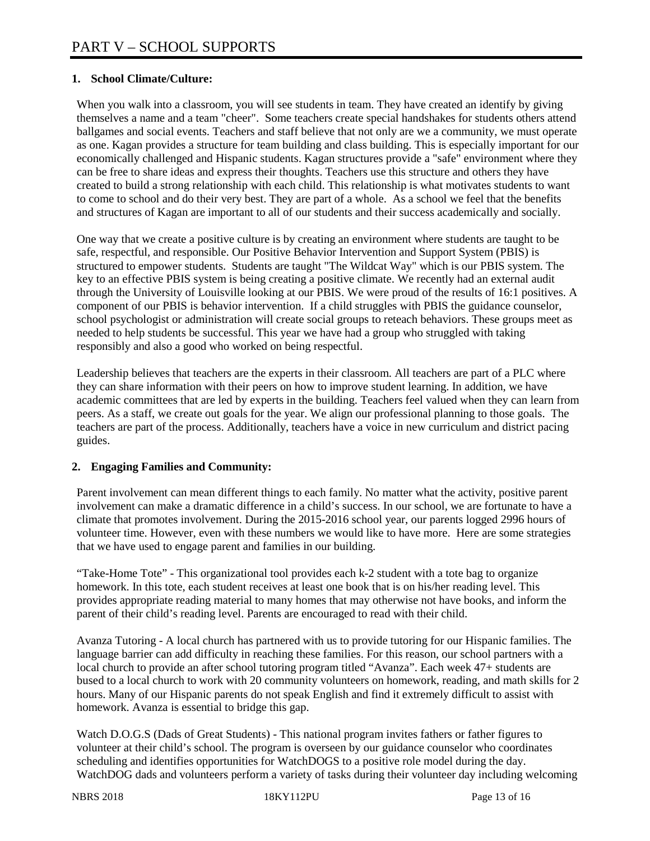# **1. School Climate/Culture:**

When you walk into a classroom, you will see students in team. They have created an identify by giving themselves a name and a team "cheer". Some teachers create special handshakes for students others attend ballgames and social events. Teachers and staff believe that not only are we a community, we must operate as one. Kagan provides a structure for team building and class building. This is especially important for our economically challenged and Hispanic students. Kagan structures provide a "safe" environment where they can be free to share ideas and express their thoughts. Teachers use this structure and others they have created to build a strong relationship with each child. This relationship is what motivates students to want to come to school and do their very best. They are part of a whole. As a school we feel that the benefits and structures of Kagan are important to all of our students and their success academically and socially.

One way that we create a positive culture is by creating an environment where students are taught to be safe, respectful, and responsible. Our Positive Behavior Intervention and Support System (PBIS) is structured to empower students. Students are taught "The Wildcat Way" which is our PBIS system. The key to an effective PBIS system is being creating a positive climate. We recently had an external audit through the University of Louisville looking at our PBIS. We were proud of the results of 16:1 positives. A component of our PBIS is behavior intervention. If a child struggles with PBIS the guidance counselor, school psychologist or administration will create social groups to reteach behaviors. These groups meet as needed to help students be successful. This year we have had a group who struggled with taking responsibly and also a good who worked on being respectful.

Leadership believes that teachers are the experts in their classroom. All teachers are part of a PLC where they can share information with their peers on how to improve student learning. In addition, we have academic committees that are led by experts in the building. Teachers feel valued when they can learn from peers. As a staff, we create out goals for the year. We align our professional planning to those goals. The teachers are part of the process. Additionally, teachers have a voice in new curriculum and district pacing guides.

## **2. Engaging Families and Community:**

Parent involvement can mean different things to each family. No matter what the activity, positive parent involvement can make a dramatic difference in a child's success. In our school, we are fortunate to have a climate that promotes involvement. During the 2015-2016 school year, our parents logged 2996 hours of volunteer time. However, even with these numbers we would like to have more. Here are some strategies that we have used to engage parent and families in our building.

"Take-Home Tote" - This organizational tool provides each k-2 student with a tote bag to organize homework. In this tote, each student receives at least one book that is on his/her reading level. This provides appropriate reading material to many homes that may otherwise not have books, and inform the parent of their child's reading level. Parents are encouraged to read with their child.

Avanza Tutoring - A local church has partnered with us to provide tutoring for our Hispanic families. The language barrier can add difficulty in reaching these families. For this reason, our school partners with a local church to provide an after school tutoring program titled "Avanza". Each week 47+ students are bused to a local church to work with 20 community volunteers on homework, reading, and math skills for 2 hours. Many of our Hispanic parents do not speak English and find it extremely difficult to assist with homework. Avanza is essential to bridge this gap.

Watch D.O.G.S (Dads of Great Students) - This national program invites fathers or father figures to volunteer at their child's school. The program is overseen by our guidance counselor who coordinates scheduling and identifies opportunities for WatchDOGS to a positive role model during the day. WatchDOG dads and volunteers perform a variety of tasks during their volunteer day including welcoming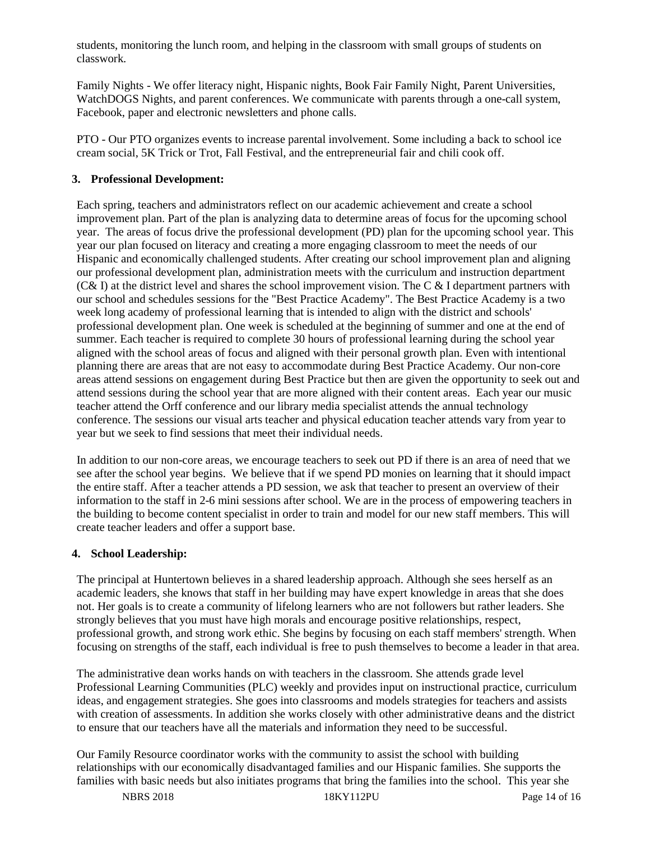students, monitoring the lunch room, and helping in the classroom with small groups of students on classwork.

Family Nights - We offer literacy night, Hispanic nights, Book Fair Family Night, Parent Universities, WatchDOGS Nights, and parent conferences. We communicate with parents through a one-call system, Facebook, paper and electronic newsletters and phone calls.

PTO - Our PTO organizes events to increase parental involvement. Some including a back to school ice cream social, 5K Trick or Trot, Fall Festival, and the entrepreneurial fair and chili cook off.

#### **3. Professional Development:**

Each spring, teachers and administrators reflect on our academic achievement and create a school improvement plan. Part of the plan is analyzing data to determine areas of focus for the upcoming school year. The areas of focus drive the professional development (PD) plan for the upcoming school year. This year our plan focused on literacy and creating a more engaging classroom to meet the needs of our Hispanic and economically challenged students. After creating our school improvement plan and aligning our professional development plan, administration meets with the curriculum and instruction department (C& I) at the district level and shares the school improvement vision. The C & I department partners with our school and schedules sessions for the "Best Practice Academy". The Best Practice Academy is a two week long academy of professional learning that is intended to align with the district and schools' professional development plan. One week is scheduled at the beginning of summer and one at the end of summer. Each teacher is required to complete 30 hours of professional learning during the school year aligned with the school areas of focus and aligned with their personal growth plan. Even with intentional planning there are areas that are not easy to accommodate during Best Practice Academy. Our non-core areas attend sessions on engagement during Best Practice but then are given the opportunity to seek out and attend sessions during the school year that are more aligned with their content areas. Each year our music teacher attend the Orff conference and our library media specialist attends the annual technology conference. The sessions our visual arts teacher and physical education teacher attends vary from year to year but we seek to find sessions that meet their individual needs.

In addition to our non-core areas, we encourage teachers to seek out PD if there is an area of need that we see after the school year begins. We believe that if we spend PD monies on learning that it should impact the entire staff. After a teacher attends a PD session, we ask that teacher to present an overview of their information to the staff in 2-6 mini sessions after school. We are in the process of empowering teachers in the building to become content specialist in order to train and model for our new staff members. This will create teacher leaders and offer a support base.

#### **4. School Leadership:**

The principal at Huntertown believes in a shared leadership approach. Although she sees herself as an academic leaders, she knows that staff in her building may have expert knowledge in areas that she does not. Her goals is to create a community of lifelong learners who are not followers but rather leaders. She strongly believes that you must have high morals and encourage positive relationships, respect, professional growth, and strong work ethic. She begins by focusing on each staff members' strength. When focusing on strengths of the staff, each individual is free to push themselves to become a leader in that area.

The administrative dean works hands on with teachers in the classroom. She attends grade level Professional Learning Communities (PLC) weekly and provides input on instructional practice, curriculum ideas, and engagement strategies. She goes into classrooms and models strategies for teachers and assists with creation of assessments. In addition she works closely with other administrative deans and the district to ensure that our teachers have all the materials and information they need to be successful.

Our Family Resource coordinator works with the community to assist the school with building relationships with our economically disadvantaged families and our Hispanic families. She supports the families with basic needs but also initiates programs that bring the families into the school. This year she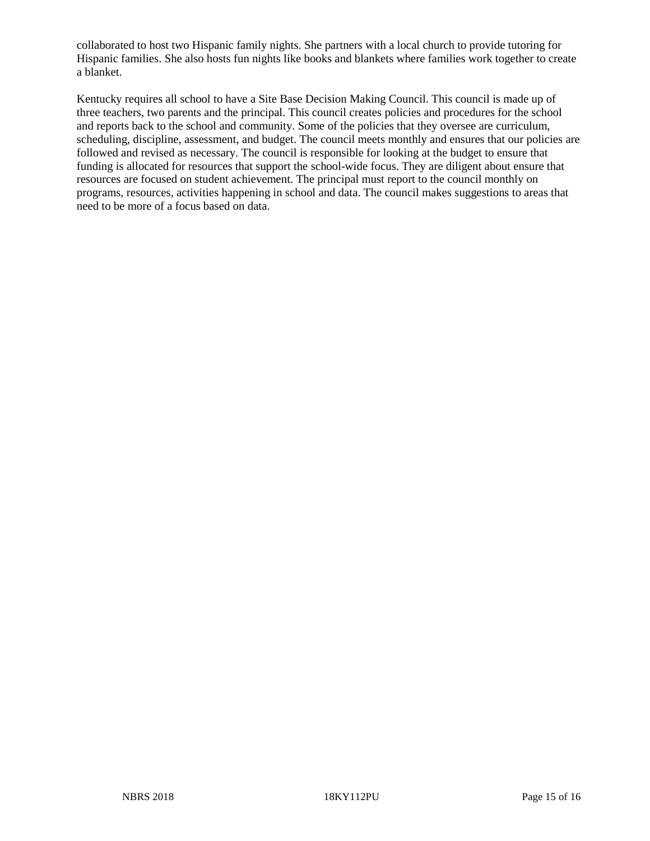collaborated to host two Hispanic family nights. She partners with a local church to provide tutoring for Hispanic families. She also hosts fun nights like books and blankets where families work together to create a blanket.

Kentucky requires all school to have a Site Base Decision Making Council. This council is made up of three teachers, two parents and the principal. This council creates policies and procedures for the school and reports back to the school and community. Some of the policies that they oversee are curriculum, scheduling, discipline, assessment, and budget. The council meets monthly and ensures that our policies are followed and revised as necessary. The council is responsible for looking at the budget to ensure that funding is allocated for resources that support the school-wide focus. They are diligent about ensure that resources are focused on student achievement. The principal must report to the council monthly on programs, resources, activities happening in school and data. The council makes suggestions to areas that need to be more of a focus based on data.